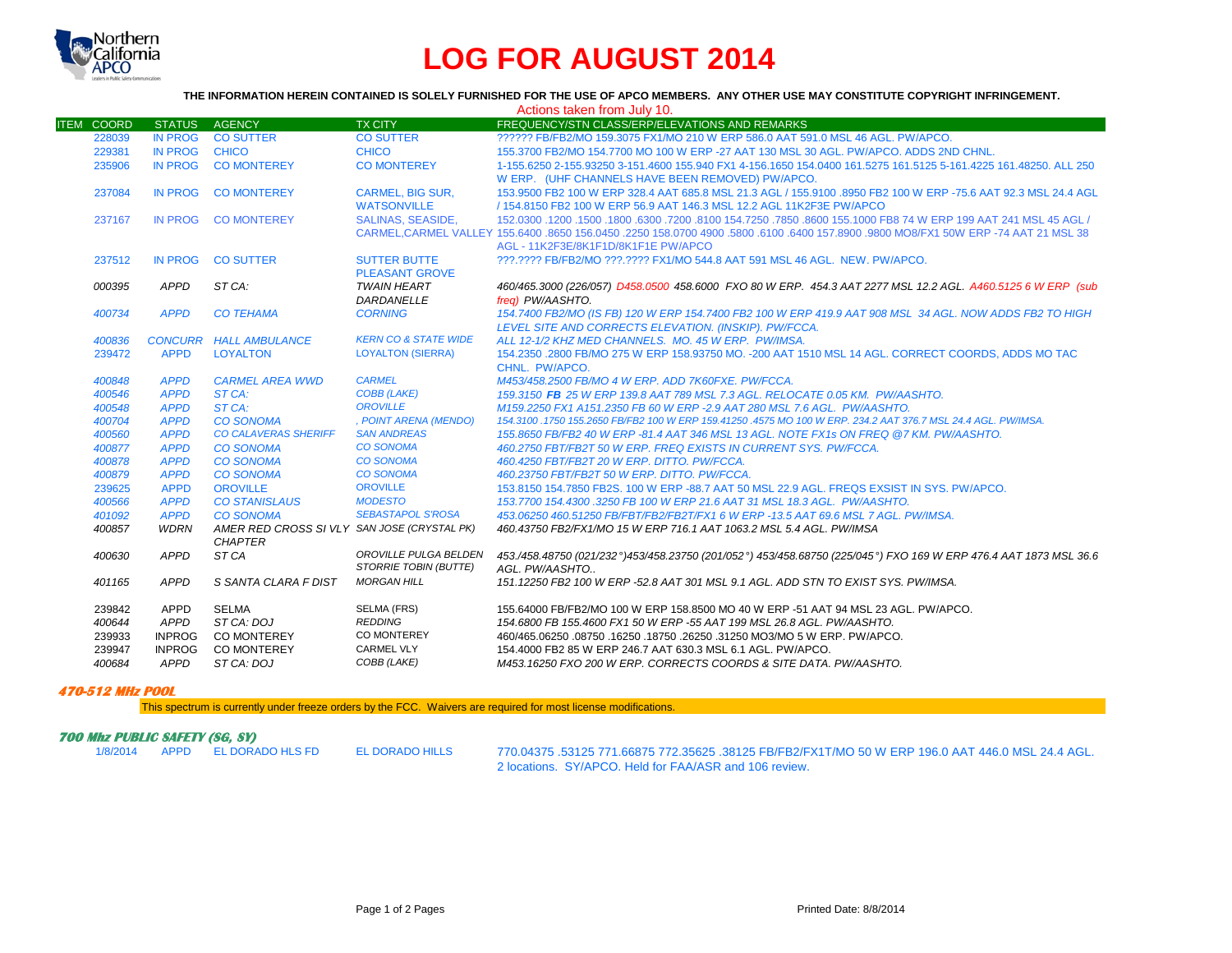

## **LOG FOR AUGUST 2014**

## **THE INFORMATION HEREIN CONTAINED IS SOLELY FURNISHED FOR THE USE OF APCO MEMBERS. ANY OTHER USE MAY CONSTITUTE COPYRIGHT INFRINGEMENT.**

|                   | Actions taken from July 10. |                                                               |                                 |                                                                                                                               |  |  |  |  |
|-------------------|-----------------------------|---------------------------------------------------------------|---------------------------------|-------------------------------------------------------------------------------------------------------------------------------|--|--|--|--|
| <b>ITEM COORD</b> | <b>STATUS</b>               | <b>AGENCY</b>                                                 | <b>TX CITY</b>                  | FREQUENCY/STN CLASS/ERP/ELEVATIONS AND REMARKS                                                                                |  |  |  |  |
| 228039            | <b>IN PROG</b>              | <b>CO SUTTER</b>                                              | <b>CO SUTTER</b>                | ?????? FB/FB2/MO 159.3075 FX1/MO 210 W ERP 586.0 AAT 591.0 MSL 46 AGL, PW/APCO.                                               |  |  |  |  |
| 229381            | <b>IN PROG</b>              | <b>CHICO</b>                                                  | <b>CHICO</b>                    | 155.3700 FB2/MO 154.7700 MO 100 W ERP -27 AAT 130 MSL 30 AGL. PW/APCO. ADDS 2ND CHNL.                                         |  |  |  |  |
| 235906            | <b>IN PROG</b>              | <b>CO MONTEREY</b>                                            | <b>CO MONTEREY</b>              | 1-155.6250 2-155.93250 3-151.4600 155.940 FX1 4-156.1650 154.0400 161.5275 161.5125 5-161.4225 161.48250. ALL 250             |  |  |  |  |
|                   |                             |                                                               |                                 | W ERP. (UHF CHANNELS HAVE BEEN REMOVED) PW/APCO.                                                                              |  |  |  |  |
| 237084            | <b>IN PROG</b>              | <b>CO MONTEREY</b>                                            | <b>CARMEL, BIG SUR,</b>         | 153,9500 FB2 100 W ERP 328.4 AAT 685.8 MSL 21.3 AGL / 155,9100 .8950 FB2 100 W ERP -75.6 AAT 92.3 MSL 24.4 AGL                |  |  |  |  |
|                   |                             |                                                               | <b>WATSONVILLE</b>              | / 154.8150 FB2 100 W ERP 56.9 AAT 146.3 MSL 12.2 AGL 11K2F3E PW/APCO                                                          |  |  |  |  |
| 237167            | <b>IN PROG</b>              | <b>CO MONTEREY</b>                                            | <b>SALINAS, SEASIDE.</b>        | 152,0300 1200 .1500 .1800 .6300 .7200 .8100 154.7250 .7850 .8600 155.1000 FB8 74 W ERP 199 AAT 241 MSL 45 AGL /               |  |  |  |  |
|                   |                             |                                                               |                                 | CARMEL.CARMEL VALLEY 155,6400,8650 156,0450,2250 158,0700 4900,5800,6100,6400 157,8900,9800 MO8/FX1 50W ERP -74 AAT 21 MSL 38 |  |  |  |  |
|                   |                             |                                                               |                                 | AGL - 11K2F3E/8K1F1D/8K1F1E PW/APCO                                                                                           |  |  |  |  |
| 237512            | <b>IN PROG</b>              | <b>CO SUTTER</b>                                              | <b>SUTTER BUTTE</b>             | ???.???? FB/FB2/MO ???.???? FX1/MO 544.8 AAT 591 MSL 46 AGL. NEW. PW/APCO.                                                    |  |  |  |  |
|                   |                             |                                                               | <b>PLEASANT GROVE</b>           |                                                                                                                               |  |  |  |  |
| 000395            | <b>APPD</b>                 | ST CA:                                                        | <b>TWAIN HEART</b>              | 460/465.3000 (226/057) D458.0500 458.6000 FXO 80 W ERP. 454.3 AAT 2277 MSL 12.2 AGL. A460.5125 6 W ERP (sub                   |  |  |  |  |
|                   |                             |                                                               | DARDANELLE                      | frea) PW/AASHTO.                                                                                                              |  |  |  |  |
| 400734            | <b>APPD</b>                 | <b>CO TEHAMA</b>                                              | <b>CORNING</b>                  | 154.7400 FB2/MO (IS FB) 120 W ERP 154.7400 FB2 100 W ERP 419.9 AAT 908 MSL 34 AGL. NOW ADDS FB2 TO HIGH                       |  |  |  |  |
|                   |                             |                                                               |                                 | LEVEL SITE AND CORRECTS ELEVATION. (INSKIP). PW/FCCA.                                                                         |  |  |  |  |
| 400836            |                             | <b>CONCURR HALL AMBULANCE</b>                                 | <b>KERN CO &amp; STATE WIDE</b> | ALL 12-1/2 KHZ MED CHANNELS. MO. 45 W ERP. PW/IMSA.                                                                           |  |  |  |  |
| 239472            | <b>APPD</b>                 | <b>LOYALTON</b>                                               | <b>LOYALTON (SIERRA)</b>        | 154,2350 .2800 FB/MO 275 W ERP 158,93750 MO. -200 AAT 1510 MSL 14 AGL. CORRECT COORDS, ADDS MO TAC                            |  |  |  |  |
|                   |                             |                                                               |                                 | CHNL. PW/APCO.                                                                                                                |  |  |  |  |
| 400848            | <b>APPD</b>                 | <b>CARMEL AREA WWD</b>                                        | <b>CARMEL</b>                   | M453/458.2500 FB/MO 4 W ERP. ADD 7K60FXE. PW/FCCA.                                                                            |  |  |  |  |
| 400546            | <b>APPD</b>                 | ST CA:                                                        | <b>COBB (LAKE)</b>              | 159.3150 FB 25 W ERP 139.8 AAT 789 MSL 7.3 AGL. RELOCATE 0.05 KM. PW/AASHTO.                                                  |  |  |  |  |
| 400548            | <b>APPD</b>                 | ST CA:                                                        | <b>OROVILLE</b>                 | M159.2250 FX1 A151.2350 FB 60 W ERP -2.9 AAT 280 MSL 7.6 AGL. PW/AASHTO.                                                      |  |  |  |  |
| 400704            | <b>APPD</b>                 | <b>CO SONOMA</b>                                              | , POINT ARENA (MENDO)           | 154.3100 .1750 155.2650 FB/FB2 100 W ERP 159.41250 .4575 MO 100 W ERP. 234.2 AAT 376.7 MSL 24.4 AGL. PW/IMSA.                 |  |  |  |  |
| 400560            | <b>APPD</b>                 | <b>CO CALAVERAS SHERIFF</b>                                   | <b>SAN ANDREAS</b>              | 155.8650 FB/FB2 40 W ERP -81.4 AAT 346 MSL 13 AGL. NOTE FX1s ON FREQ @7 KM. PW/AASHTO.                                        |  |  |  |  |
| 400877            | <b>APPD</b>                 | <b>CO SONOMA</b>                                              | <b>CO SONOMA</b>                | 460.2750 FBT/FB2T 50 W ERP. FREQ EXISTS IN CURRENT SYS. PW/FCCA.                                                              |  |  |  |  |
| 400878            | <b>APPD</b>                 | <b>CO SONOMA</b>                                              | <b>CO SONOMA</b>                | 460.4250 FBT/FB2T 20 W ERP. DITTO. PW/FCCA.                                                                                   |  |  |  |  |
| 400879            | <b>APPD</b>                 | <b>CO SONOMA</b>                                              | <b>CO SONOMA</b>                | 460.23750 FBT/FB2T 50 W ERP. DITTO. PW/FCCA.                                                                                  |  |  |  |  |
| 239625            | <b>APPD</b>                 | <b>OROVILLE</b>                                               | <b>OROVILLE</b>                 | 153.8150 154.7850 FB2S. 100 W ERP -88.7 AAT 50 MSL 22.9 AGL. FREQS EXSIST IN SYS. PW/APCO.                                    |  |  |  |  |
| 400566            | <b>APPD</b>                 | <b>CO STANISLAUS</b>                                          | <b>MODESTO</b>                  | 153.7700 154.4300 .3250 FB 100 W ERP 21.6 AAT 31 MSL 18.3 AGL. PW/AASHTO.                                                     |  |  |  |  |
| 401092            | <b>APPD</b>                 | <b>CO SONOMA</b>                                              | <b>SEBASTAPOL S'ROSA</b>        | 453.06250 460.51250 FB/FBT/FB2/FB2T/FX1 6 W ERP -13.5 AAT 69.6 MSL 7 AGL, PW/IMSA,                                            |  |  |  |  |
| 400857            | <b>WDRN</b>                 | AMER RED CROSS SI VLY SAN JOSE (CRYSTAL PK)<br><b>CHAPTER</b> |                                 | 460.43750 FB2/FX1/MO 15 W ERP 716.1 AAT 1063.2 MSL 5.4 AGL, PW/IMSA                                                           |  |  |  |  |
| 400630            | <b>APPD</b>                 | ST CA                                                         | OROVILLE PULGA BELDEN           | 453./458.48750 (021/232°)453/458.23750 (201/052°) 453/458.68750 (225/045°) FXO 169 W ERP 476.4 AAT 1873 MSL 36.6              |  |  |  |  |
|                   |                             |                                                               | STORRIE TOBIN (BUTTE)           | AGL. PW/AASHTO                                                                                                                |  |  |  |  |
| 401165            | <b>APPD</b>                 | S SANTA CLARA F DIST                                          | <b>MORGAN HILL</b>              | 151.12250 FB2 100 W ERP -52.8 AAT 301 MSL 9.1 AGL. ADD STN TO EXIST SYS. PW/IMSA.                                             |  |  |  |  |
|                   |                             |                                                               |                                 |                                                                                                                               |  |  |  |  |
| 239842            | APPD                        | <b>SELMA</b>                                                  | SELMA (FRS)                     | 155.64000 FB/FB2/MO 100 W ERP 158.8500 MO 40 W ERP -51 AAT 94 MSL 23 AGL. PW/APCO.                                            |  |  |  |  |
| 400644            | APPD                        | ST CA: DOJ                                                    | <b>REDDING</b>                  | 154.6800 FB 155.4600 FX1 50 W ERP -55 AAT 199 MSL 26.8 AGL, PW/AASHTO.                                                        |  |  |  |  |
| 239933            | <b>INPROG</b>               | <b>CO MONTEREY</b>                                            | CO MONTEREY                     | 460/465.06250 .08750 .16250 .18750 .26250 .31250 MO3/MO 5 W ERP. PW/APCO.                                                     |  |  |  |  |
| 239947            | <b>INPROG</b>               | <b>CO MONTEREY</b>                                            | <b>CARMEL VLY</b>               | 154.4000 FB2 85 W ERP 246.7 AAT 630.3 MSL 6.1 AGL, PW/APCO.                                                                   |  |  |  |  |
| 400684            | APPD                        | ST CA: DOJ                                                    | COBB (LAKE)                     | M453.16250 FXO 200 W ERP. CORRECTS COORDS & SITE DATA. PW/AASHTO.                                                             |  |  |  |  |
|                   |                             |                                                               |                                 |                                                                                                                               |  |  |  |  |

## **470-512 MHz POOL**

This spectrum is currently under freeze orders by the FCC. Waivers are required for most license modifications.

| 700 Mhz PUBLIC SAFETY (SG, SY) |  |                                |                 |                                                                                                            |  |  |  |  |
|--------------------------------|--|--------------------------------|-----------------|------------------------------------------------------------------------------------------------------------|--|--|--|--|
|                                |  | 1/8/2014 APPD EL DORADO HLS FD | EL DORADO HILLS | .24.4 AGL 770.04375 .53125 771.66875 772.35625 .38125 FB/FB2/FX1T/MO 50 W ERP 196.0 AAT 446.0 MSL 24.4 AGL |  |  |  |  |
|                                |  |                                |                 | 2 locations, SY/APCO, Held for FAA/ASR and 106 review.                                                     |  |  |  |  |